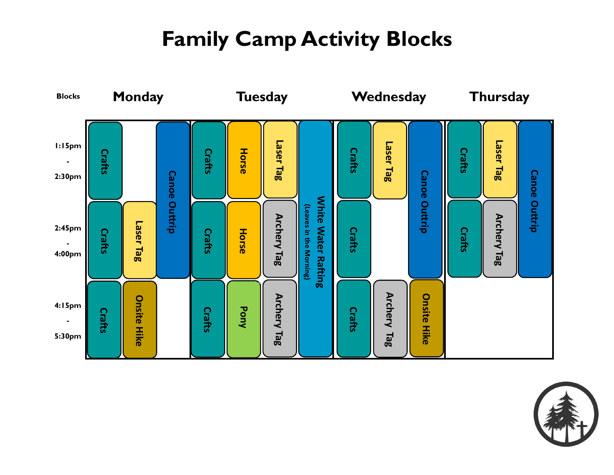# **Family Camp Activity Blocks**



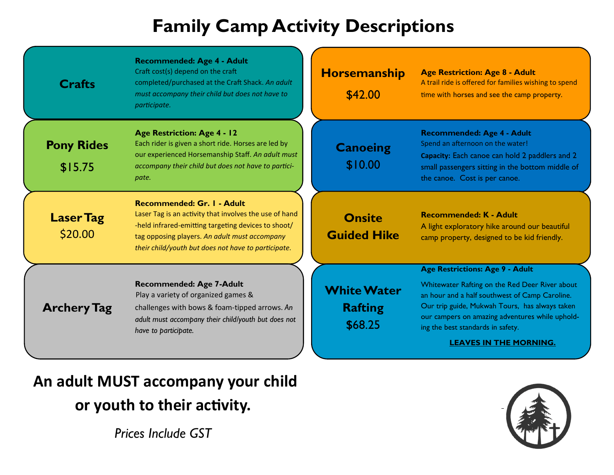# **Family Camp Activity Descriptions**

| <b>Crafts</b>                | Recommended: Age 4 - Adult<br>Craft cost(s) depend on the craft<br>completed/purchased at the Craft Shack. An adult<br>must accompany their child but does not have to<br>participate.                                                                     | <b>Horsemanship</b><br>\$42.00                  | <b>Age Restriction: Age 8 - Adult</b><br>A trail ride is offered for families wishing to spend<br>time with horses and see the camp property.                                                                                                                               |
|------------------------------|------------------------------------------------------------------------------------------------------------------------------------------------------------------------------------------------------------------------------------------------------------|-------------------------------------------------|-----------------------------------------------------------------------------------------------------------------------------------------------------------------------------------------------------------------------------------------------------------------------------|
| <b>Pony Rides</b><br>\$15.75 | <b>Age Restriction: Age 4 - 12</b><br>Each rider is given a short ride. Horses are led by<br>our experienced Horsemanship Staff. An adult must<br>accompany their child but does not have to partici-<br>pate.                                             | <b>Canoeing</b><br>\$10.00                      | Recommended: Age 4 - Adult<br>Spend an afternoon on the water!<br>Capacity: Each canoe can hold 2 paddlers and 2<br>small passengers sitting in the bottom middle of<br>the canoe. Cost is per canoe.                                                                       |
| <b>Laser Tag</b><br>\$20.00  | <b>Recommended: Gr. I - Adult</b><br>Laser Tag is an activity that involves the use of hand<br>-held infrared-emitting targeting devices to shoot/<br>tag opposing players. An adult must accompany<br>their child/youth but does not have to participate. | <b>Onsite</b><br><b>Guided Hike</b>             | <b>Recommended: K - Adult</b><br>A light exploratory hike around our beautiful<br>camp property, designed to be kid friendly.                                                                                                                                               |
|                              |                                                                                                                                                                                                                                                            |                                                 | <b>Age Restrictions: Age 9 - Adult</b>                                                                                                                                                                                                                                      |
| <b>Archery Tag</b>           | <b>Recommended: Age 7-Adult</b><br>Play a variety of organized games &<br>challenges with bows & foam-tipped arrows. An<br>adult must accompany their child/youth but does not<br>have to participate.                                                     | <b>White Water</b><br><b>Rafting</b><br>\$68.25 | Whitewater Rafting on the Red Deer River about<br>an hour and a half southwest of Camp Caroline.<br>Our trip guide, Mukwah Tours, has always taken<br>our campers on amazing adventures while uphold-<br>ing the best standards in safety.<br><b>LEAVES IN THE MORNING.</b> |

### **An adult MUST accompany your child or youth to their activity.**

*Prices Include GST*